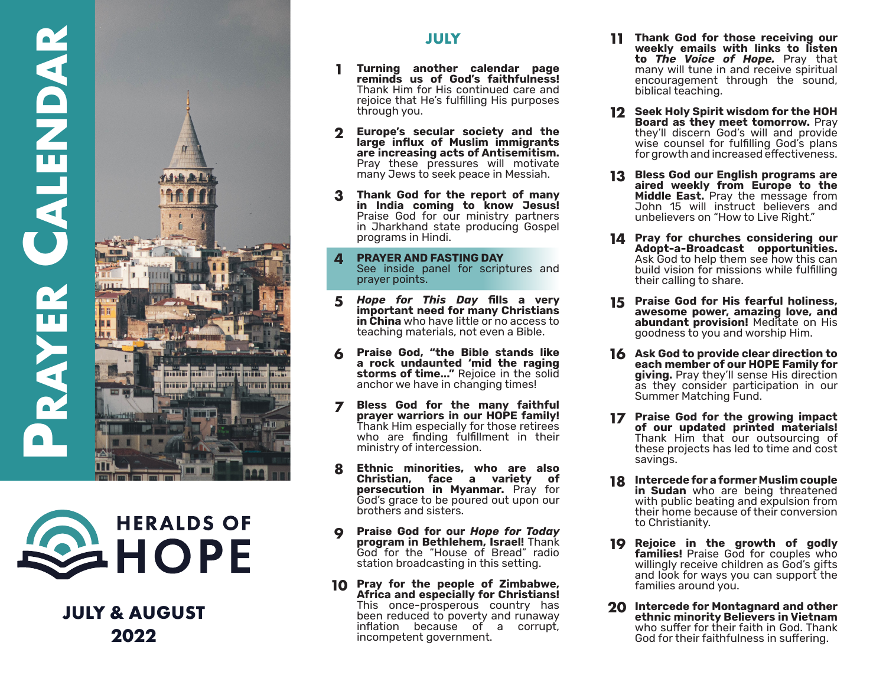



**JULY & AUGUST 2022**

## **JULY**

- **Turning another calendar page reminds us of God's faithfulness!**  Thank Him for His continued care and rejoice that He's fulfilling His purposes through you.
- **Europe's secular society and the large influx of Muslim immigrants are increasing acts of Antisemitism.** Pray these pressures will motivate many Jews to seek peace in Messiah.
- 3 **Thank God for the report of many in India coming to know Jesus!**  Praise God for our ministry partners in Jharkhand state producing Gospel programs in Hindi.
- **PRAYER AND FASTING DAY** See inside panel for scriptures and prayer points.
- *Hope for This Day* **fills a very**  5 **important need for many Christians in China** who have little or no access to teaching materials, not even a Bible.
- **Praise God, "the Bible stands like a rock undaunted 'mid the raging storms of time..."** Rejoice in the solid anchor we have in changing times!
- **Bless God for the many faithful**   $\overline{\mathbf{z}}$ **prayer warriors in our HOPE family!**  Thank Him especially for those retirees who are finding fulfillment in their ministry of intercession.
- 1 2 3 4 5 6 7 8 9 10<br>
10<br>
10<br>
10 **Ethnic minorities, who are also**  8 **Christian, face a variety of persecution in Myanmar.** Pray for God's grace to be poured out upon our brothers and sisters.
- **Praise God for our** *Hope for Today*  **program in Bethlehem, Israel!** Thank God for the "House of Bread" radio station broadcasting in this setting.
- **10** Pray for the people of Zimbabwe, **Africa and especially for Christians!**  This once-prosperous country has been reduced to poverty and runaway inflation because of a corrupt, incompetent government.
- **Thank God for those receiving our 11 weekly emails with links to listen to** *The Voice of Hope.* Pray that many will tune in and receive spiritual encouragement through the sound, biblical teaching.
- **Seek Holy Spirit wisdom for the HOH 12 Board as they meet tomorrow.** Pray they'll discern God's will and provide wise counsel for fulfilling God's plans for growth and increased effectiveness.
- **Bless God our English programs are 13 aired weekly from Europe to the Middle East.** Pray the message from John 15 will instruct believers and unbelievers on "How to Live Right."
- **Pray for churches considering our 14 Adopt-a-Broadcast opportunities.**  Ask God to help them see how this can build vision for missions while fulfilling their calling to share.
- **Praise God for His fearful holiness, 15 awesome power, amazing love, and abundant provision!** Meditate on His goodness to you and worship Him.
- **Ask God to provide clear direction to 16 each member of our HOPE Family for giving.** Pray they'll sense His direction as they consider participation in our Summer Matching Fund.
- **Praise God for the growing impact 17 of our updated printed materials!**  Thank Him that our outsourcing of these projects has led to time and cost savings.
- **Intercede for a former Muslim couple 18 in Sudan** who are being threatened with public beating and expulsion from their home because of their conversion to Christianity.
- **Rejoice in the growth of godly 19** families! Praise God for couples who willingly receive children as God's gifts and look for ways you can support the families around you.
- **Intercede for Montagnard and other 20ethnic minority Believers in Vietnam**  who suffer for their faith in God. Thank God for their faithfulness in suffering.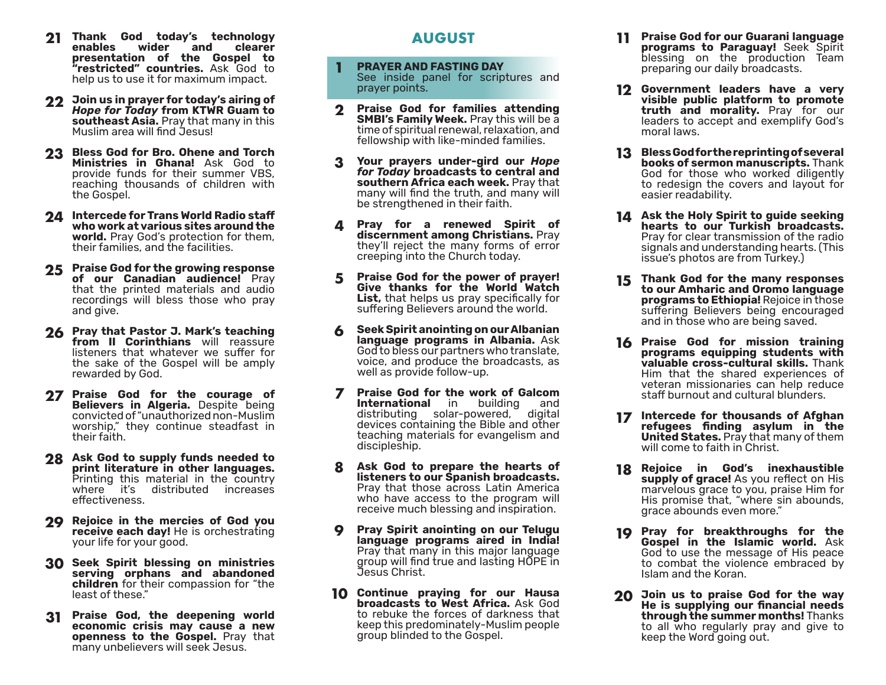- **21 Thank God today's technology enables presentation of the Gospel to "restricted" countries.** Ask God to help us to use it for maximum impact.
- **22 Join us in prayer for today's airing of**  *Hope for Today* **from KTWR Guam to southeast Asia.** Pray that many in this Muslim area will find Jesus!
- **Bless God for Bro. Ohene and Torch 23 Ministries in Ghana!** Ask God to provide funds for their summer VBS, reaching thousands of children with the Gospel.
- **Intercede for Trans World Radio staff 24 who work at various sites around the world.** Pray God's protection for them, their families, and the facilities.
- **Praise God for the growing response 25 of our Canadian audience!** Pray that the printed materials and audio recordings will bless those who pray and give.
- **Pray that Pastor J. Mark's teaching 26 from II Corinthians** will reassure listeners that whatever we suffer for the sake of the Gospel will be amply rewarded by God.
- **Praise God for the courage of 27 Believers in Algeria.** Despite being convicted of "unauthorized non-Muslim" worship," they continue steadfast in their faith.
- **Ask God to supply funds needed to 28 print literature in other languages.**  Printing this material in the country where it's distributed increases effectiveness.
- **Rejoice in the mercies of God you 29 receive each day!** He is orchestrating your life for your good.
- **Seek Spirit blessing on ministries 30 serving orphans and abandoned children** for their compassion for "the least of these."
- **Praise God, the deepening world 31 economic crisis may cause a new openness to the Gospel.** Pray that many unbelievers will seek Jesus.

# **AUGUST**

- **PRAYER AND FASTING DAY** See inside panel for scriptures and prayer points. **1**
- **Praise God for families attending 2 SMBI's Family Week.** Pray this will be a time of spiritual renewal, relaxation, and fellowship with like-minded families.
- **Your prayers under-gird our** *Hope for Today* **broadcasts to central and southern Africa each week.** Pray that many will find the truth, and many will be strengthened in their faith. **3**
- **Pray for a renewed Spirit of discernment among Christians.** Pray they'll reject the many forms of error creeping into the Church today. **4**
- **Praise God for the power of prayer! Give thanks for the World Watch**  List, that helps us pray specifically for suffering Believers around the world. **5**
- **Seek Spirit anointing on our Albanian language programs in Albania.** Ask God to bless our partners who translate, voice, and produce the broadcasts, as well as provide follow-up. **6**
- **Praise God for the work of Galcom 7 International** in building and distributing solar-powered, digital devices containing the Bible and other teaching materials for evangelism and discipleship.
- **Ask God to prepare the hearts of listeners to our Spanish broadcasts.**  Pray that those across Latin America who have access to the program will receive much blessing and inspiration. **8**
- **Pray Spirit anointing on our Telugu 9 language programs aired in India!**  Pray that many in this major language group will find true and lasting HOPE in Jesus Christ.
- **10** Continue praying for our Hausa **broadcasts to West Africa.** Ask God to rebuke the forces of darkness that keep this predominately-Muslim people group blinded to the Gospel.
- **Praise God for our Guarani language 11 programs to Paraguay!** Seek Spirit blessing on the production Team preparing our daily broadcasts.
- **Government leaders have a very 12 visible public platform to promote truth and morality.** Pray for our leaders to accept and exemplify God's moral laws.
- **Bless God for the reprinting of several 13 books of sermon manuscripts.** Thank God for those who worked diligently to redesign the covers and layout for easier readability.
- **Ask the Holy Spirit to guide seeking 14 hearts to our Turkish broadcasts.**  Pray for clear transmission of the radio signals and understanding hearts. (This issue's photos are from Turkey.)
- **Thank God for the many responses 15 to our Amharic and Oromo language programs to Ethiopia!** Rejoice in those suffering Believers being encouraged and in those who are being saved.
- **Praise God for mission training 16 programs equipping students with valuable cross-cultural skills.** Thank Him that the shared experiences of veteran missionaries can help reduce staff burnout and cultural blunders.
- **17** Intercede for thousands of Afghan **refugees finding asylum in the United States.** Pray that many of them will come to faith in Christ.
- **Rejoice in God's inexhaustible 18 supply of grace!** As you reflect on His marvelous grace to you, praise Him for His promise that, "where sin abounds, grace abounds even more."
- **19** Pray for breakthroughs for the **Gospel in the Islamic world.** Ask God to use the message of His peace to combat the violence embraced by Islam and the Koran.
- **Join us to praise God for the way 20He is supplying our financial needs through the summer months!** Thanks to all who regularly pray and give to keep the Word going out.